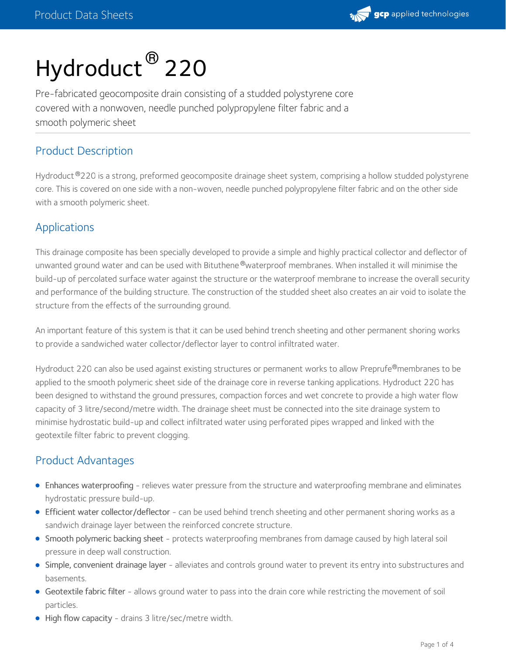

# Hydroduct ® 220

Pre-fabricated geocomposite drain consisting of a studded polystyrene core covered with a nonwoven, needle punched polypropylene filter fabric and a smooth polymeric sheet

# Product Description

Hydroduct 220 is a strong, preformed geocomposite drainage sheet system, comprising a hollow studded polystyrene ® core. This is covered on one side with a non-woven, needle punched polypropylene filter fabric and on the other side with a smooth polymeric sheet.

# Applications

This drainage composite has been specially developed to provide a simple and highly practical collector and deflector of unwanted ground water and can be used with Bituthene®waterproof membranes. When installed it will minimise the build-up of percolated surface water against the structure or the waterproof membrane to increase the overall security and performance of the building structure. The construction of the studded sheet also creates an air void to isolate the structure from the effects of the surrounding ground.

An important feature of this system is that it can be used behind trench sheeting and other permanent shoring works to provide a sandwiched water collector/deflector layer to control infiltrated water.

Hydroduct 220 can also be used against existing structures or permanent works to allow Preprufe®membranes to be applied to the smooth polymeric sheet side of the drainage core in reverse tanking applications. Hydroduct 220 has been designed to withstand the ground pressures, compaction forces and wet concrete to provide a high water flow capacity of 3 litre/second/metre width. The drainage sheet must be connected into the site drainage system to minimise hydrostatic build-up and collect infiltrated water using perforated pipes wrapped and linked with the geotextile filter fabric to prevent clogging.

# Product Advantages

- Enhances waterproofing relieves water pressure from the structure and waterproofing membrane and eliminates hydrostatic pressure build-up.
- Efficient water collector/deflector can be used behind trench sheeting and other permanent shoring works as a sandwich drainage layer between the reinforced concrete structure.
- Smooth polymeric backing sheet protects waterproofing membranes from damage caused by high lateral soil pressure in deep wall construction.
- Simple, convenient drainage layer alleviates and controls ground water to prevent its entry into substructures and basements.
- Geotextile fabric filter allows ground water to pass into the drain core while restricting the movement of soil particles.
- High flow capacity drains 3 litre/sec/metre width.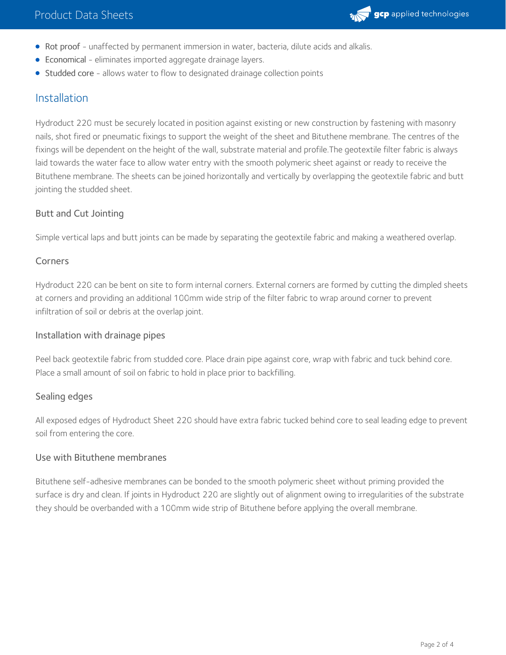

- Rot proof unaffected by permanent immersion in water, bacteria, dilute acids and alkalis.
- Economical eliminates imported aggregate drainage layers.
- Studded core allows water to flow to designated drainage collection points

## Installation

Hydroduct 220 must be securely located in position against existing or new construction by fastening with masonry nails, shot fired or pneumatic fixings to support the weight of the sheet and Bituthene membrane. The centres of the fixings will be dependent on the height of the wall, substrate material and profile.The geotextile filter fabric is always laid towards the water face to allow water entry with the smooth polymeric sheet against or ready to receive the Bituthene membrane. The sheets can be joined horizontally and vertically by overlapping the geotextile fabric and butt jointing the studded sheet.

## Butt and Cut Jointing

Simple vertical laps and butt joints can be made by separating the geotextile fabric and making a weathered overlap.

### Corners

Hydroduct 220 can be bent on site to form internal corners. External corners are formed by cutting the dimpled sheets at corners and providing an additional 100mm wide strip of the filter fabric to wrap around corner to prevent infiltration of soil or debris at the overlap joint.

#### Installation with drainage pipes

Peel back geotextile fabric from studded core. Place drain pipe against core, wrap with fabric and tuck behind core. Place a small amount of soil on fabric to hold in place prior to backfilling.

## Sealing edges

All exposed edges of Hydroduct Sheet 220 should have extra fabric tucked behind core to seal leading edge to prevent soil from entering the core.

## Use with Bituthene membranes

Bituthene self-adhesive membranes can be bonded to the smooth polymeric sheet without priming provided the surface is dry and clean. If joints in Hydroduct 220 are slightly out of alignment owing to irregularities of the substrate they should be overbanded with a 100mm wide strip of Bituthene before applying the overall membrane.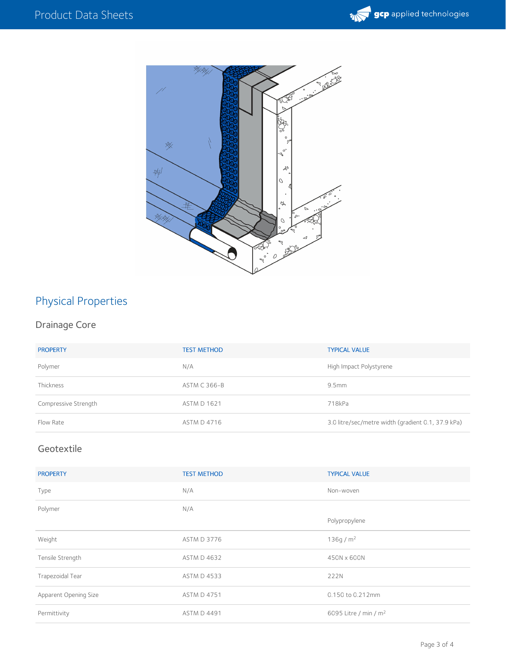



# Physical Properties

# Drainage Core

| <b>PROPERTY</b>      | <b>TEST METHOD</b>  | <b>TYPICAL VALUE</b>                               |
|----------------------|---------------------|----------------------------------------------------|
| Polymer              | N/A                 | High Impact Polystyrene                            |
| Thickness            | <b>ASTM C 366-B</b> | 9.5 <sub>mm</sub>                                  |
| Compressive Strength | <b>ASTM D 1621</b>  | 718kPa                                             |
| Flow Rate            | <b>ASTM D 4716</b>  | 3.0 litre/sec/metre width (gradient 0.1, 37.9 kPa) |

# Geotextile

| <b>PROPERTY</b>       | <b>TEST METHOD</b> | <b>TYPICAL VALUE</b>              |
|-----------------------|--------------------|-----------------------------------|
| Type                  | N/A                | Non-woven                         |
| Polymer               | N/A                |                                   |
|                       |                    | Polypropylene                     |
| Weight                | <b>ASTM D 3776</b> | 136g/m <sup>2</sup>               |
| Tensile Strength      | <b>ASTM D 4632</b> | 450N x 600N                       |
| Trapezoidal Tear      | <b>ASTM D 4533</b> | 222N                              |
| Apparent Opening Size | <b>ASTM D 4751</b> | 0.150 to 0.212mm                  |
| Permittivity          | <b>ASTM D 4491</b> | 6095 Litre / min / m <sup>2</sup> |